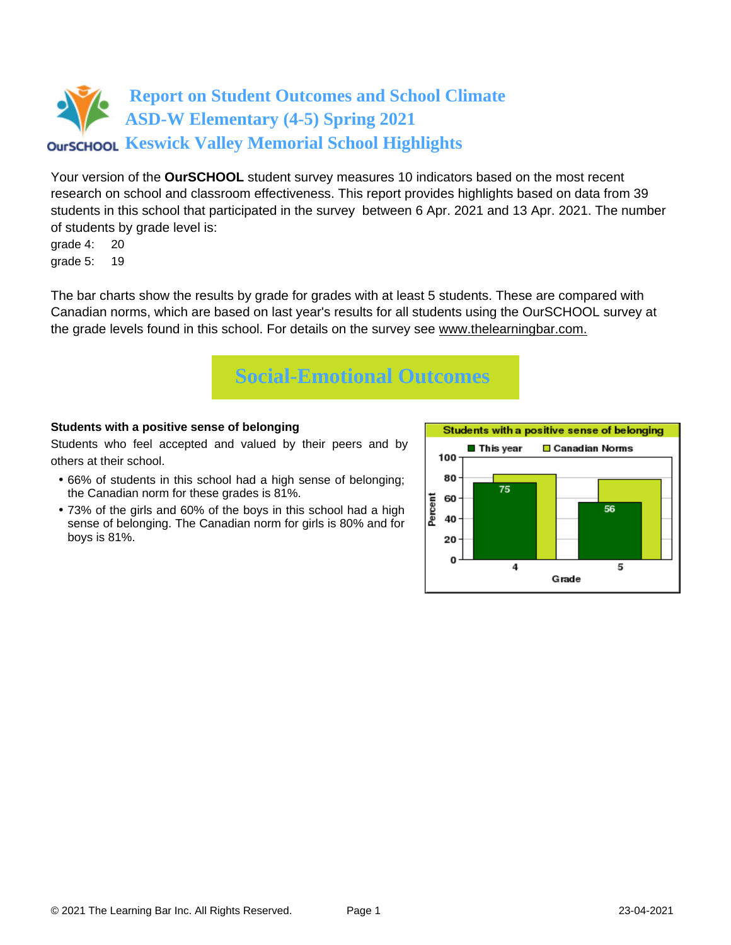# **Report on Student Outcomes and School Climate ASD-W Elementary (4-5) Spring 2021 OUTSCHOOL Keswick Valley Memorial School Highlights**

Your version of the **OurSCHOOL** student survey measures 10 indicators based on the most recent research on school and classroom effectiveness. This report provides highlights based on data from 39 students in this school that participated in the survey between 6 Apr. 2021 and 13 Apr. 2021. The number of students by grade level is:

grade 4: 20 grade 5: 19

The bar charts show the results by grade for grades with at least 5 students. These are compared with Canadian norms, which are based on last year's results for all students using the OurSCHOOL survey at the grade levels found in this school. For details on the survey see [www.thelearningbar.com.](www.thelearningbar.com)



#### **Students with a positive sense of belonging**

Students who feel accepted and valued by their peers and by others at their school.

- 66% of students in this school had a high sense of belonging; the Canadian norm for these grades is 81%.
- 73% of the girls and 60% of the boys in this school had a high sense of belonging. The Canadian norm for girls is 80% and for boys is 81%.

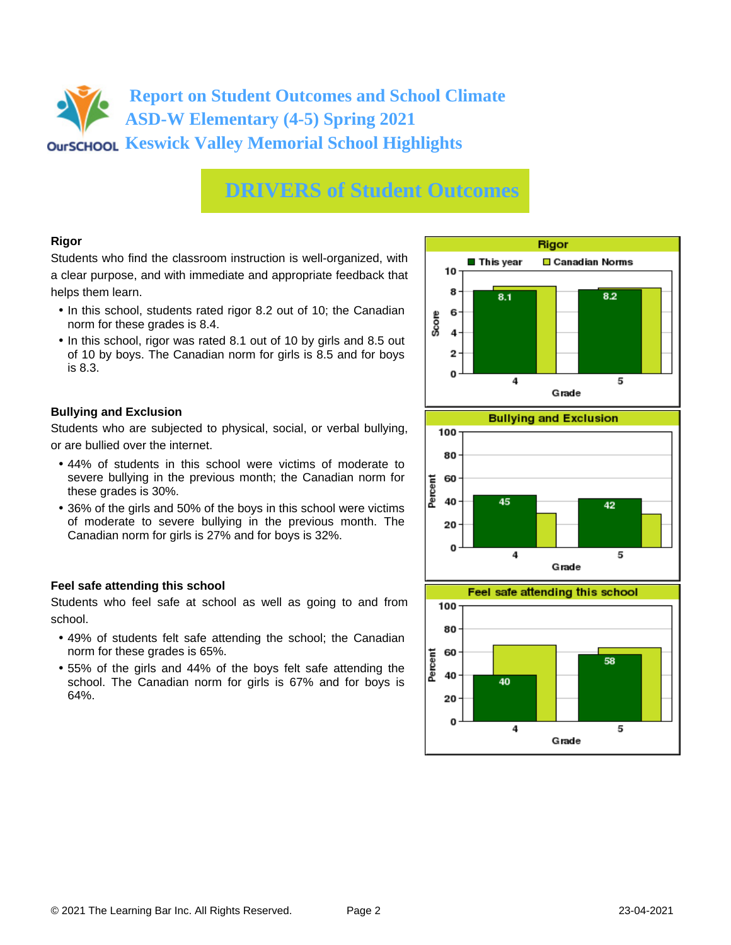### **Report on Student Outcomes and School Climate ASD-W Elementary (4-5) Spring 2021 OUTSCHOOL KESWICK Valley Memorial School Highlights**

# **DRIVERS of Student Outcomes**

#### **Rigor**

Students who find the classroom instruction is well-organized, with a clear purpose, and with immediate and appropriate feedback that helps them learn.

- In this school, students rated rigor 8.2 out of 10; the Canadian norm for these grades is 8.4.
- In this school, rigor was rated 8.1 out of 10 by girls and 8.5 out of 10 by boys. The Canadian norm for girls is 8.5 and for boys is 8.3.

#### **Bullying and Exclusion**

Students who are subjected to physical, social, or verbal bullying, or are bullied over the internet.

- 44% of students in this school were victims of moderate to severe bullying in the previous month; the Canadian norm for these grades is 30%.
- 36% of the girls and 50% of the boys in this school were victims of moderate to severe bullying in the previous month. The Canadian norm for girls is 27% and for boys is 32%.

#### **Feel safe attending this school**

Students who feel safe at school as well as going to and from school.

- 49% of students felt safe attending the school; the Canadian norm for these grades is 65%.
- 55% of the girls and 44% of the boys felt safe attending the school. The Canadian norm for girls is 67% and for boys is 64%.





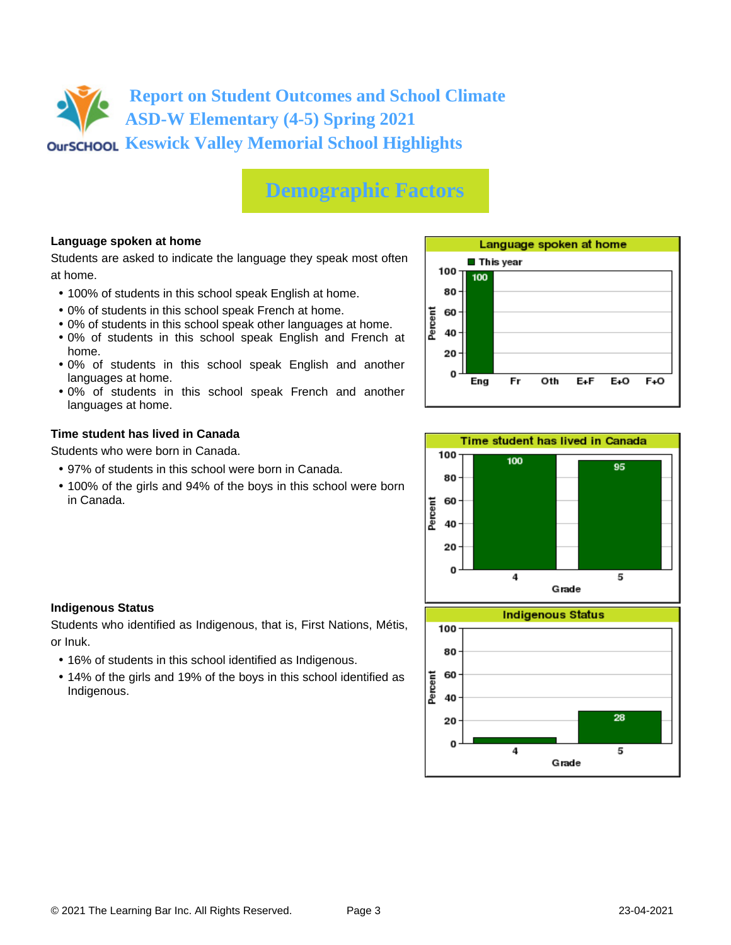# **Report on Student Outcomes and School Climate ASD-W Elementary (4-5) Spring 2021 OUTSCHOOL Keswick Valley Memorial School Highlights**

# **Demographic Factors**

#### **Language spoken at home**

Students are asked to indicate the language they speak most often at home.

- 100% of students in this school speak English at home.
- 0% of students in this school speak French at home.
- 0% of students in this school speak other languages at home.
- 0% of students in this school speak English and French at home.
- 0% of students in this school speak English and another languages at home.
- 0% of students in this school speak French and another languages at home.

#### **Time student has lived in Canada**

Students who were born in Canada.

- 97% of students in this school were born in Canada.
- 100% of the girls and 94% of the boys in this school were born in Canada.





#### **Indigenous Status**

Students who identified as Indigenous, that is, First Nations, Métis, or Inuk.

- 16% of students in this school identified as Indigenous.
- 14% of the girls and 19% of the boys in this school identified as Indigenous.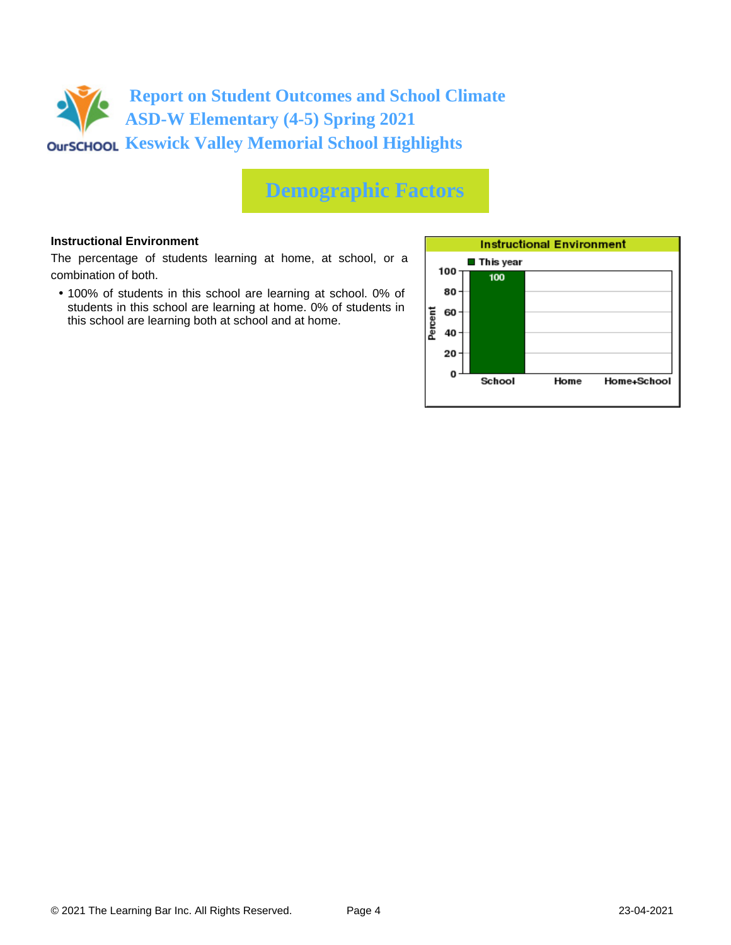

## **Demographic Factors**

#### **Instructional Environment**

The percentage of students learning at home, at school, or a combination of both.

• 100% of students in this school are learning at school. 0% of students in this school are learning at home. 0% of students in this school are learning both at school and at home.

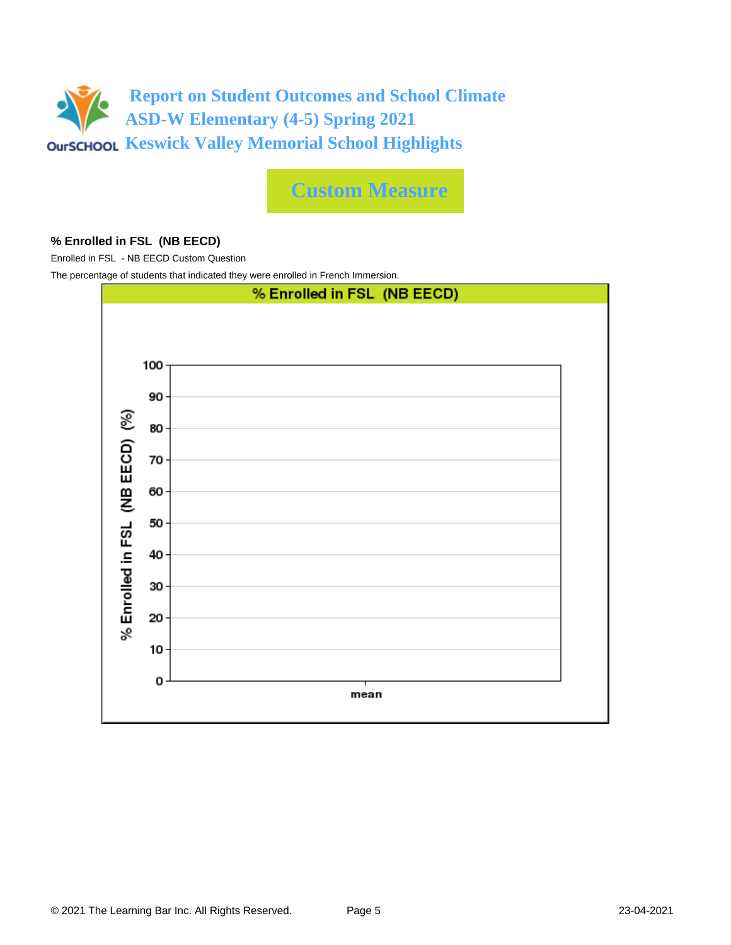

**Custom Measure**

#### **% Enrolled in FSL (NB EECD)**

Enrolled in FSL - NB EECD Custom Question

The percentage of students that indicated they were enrolled in French Immersion.

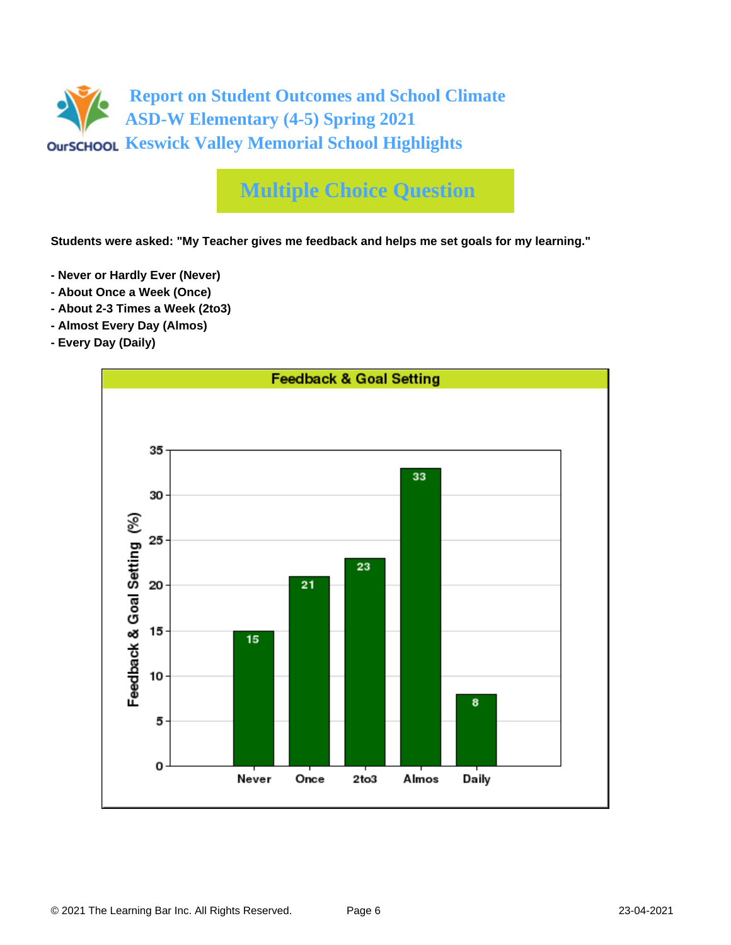

**Students were asked: "My Teacher gives me feedback and helps me set goals for my learning."**

- **Never or Hardly Ever (Never)**
- **About Once a Week (Once)**
- **About 2-3 Times a Week (2to3)**
- **Almost Every Day (Almos)**
- **Every Day (Daily)**

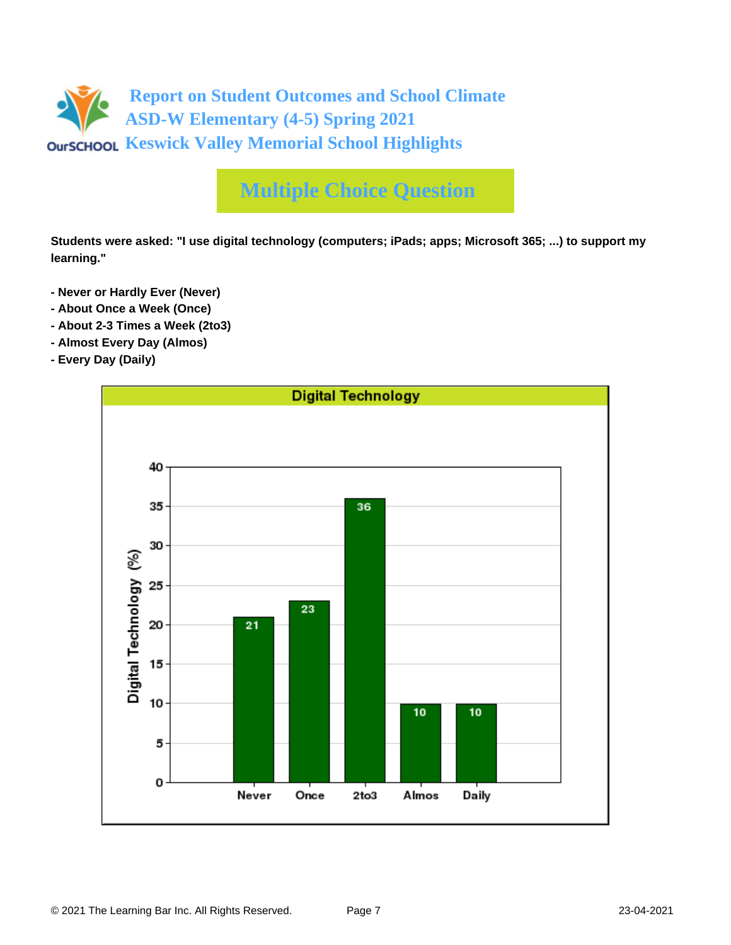

**Students were asked: "I use digital technology (computers; iPads; apps; Microsoft 365; ...) to support my learning."**

- **Never or Hardly Ever (Never)**
- **About Once a Week (Once)**
- **About 2-3 Times a Week (2to3)**
- **Almost Every Day (Almos)**
- **Every Day (Daily)**

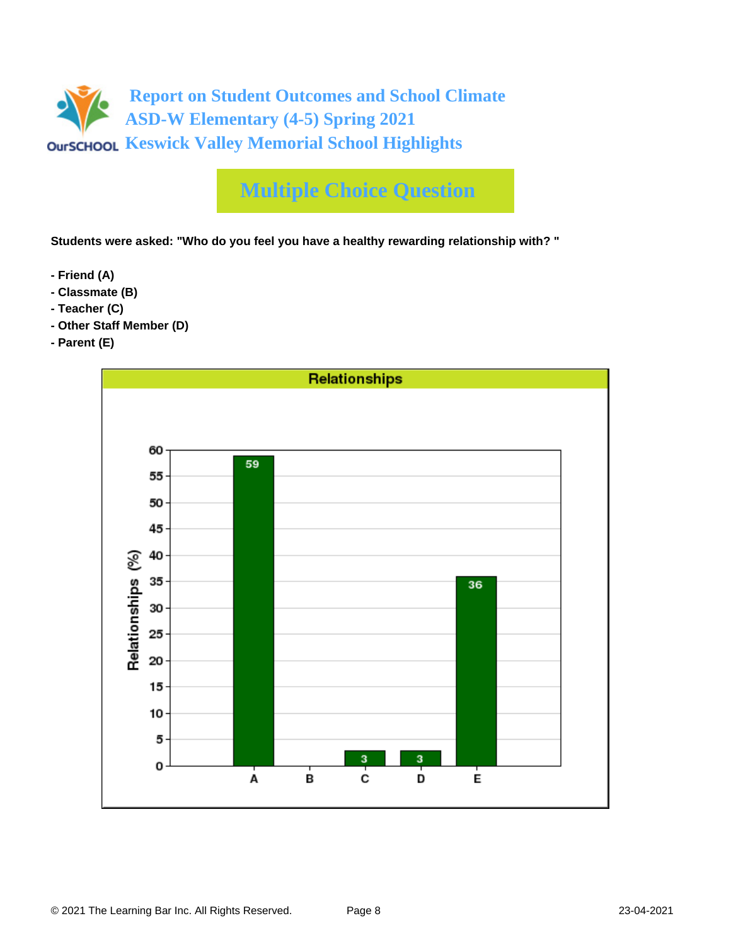

**Students were asked: "Who do you feel you have a healthy rewarding relationship with? "**

- **Friend (A)**
- **Classmate (B)**
- **Teacher (C)**
- **Other Staff Member (D)**
- **Parent (E)**